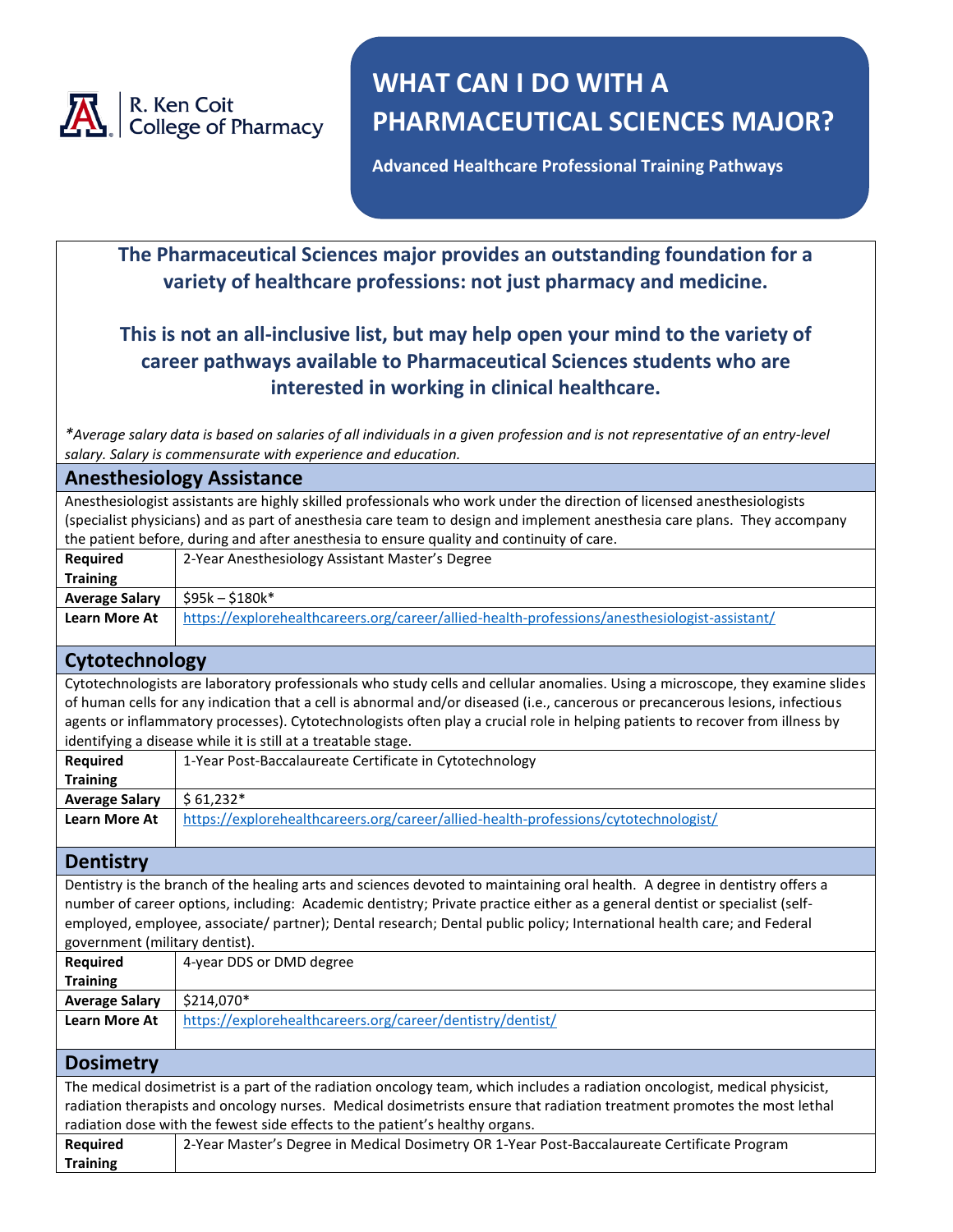

# **WHAT CAN I DO WITH A PHARMACEUTICAL SCIENCES MAJOR?**

**Advanced Healthcare Professional Training Pathways**

# **The Pharmaceutical Sciences major provides an outstanding foundation for a variety of healthcare professions: not just pharmacy and medicine.**

# **This is not an all-inclusive list, but may help open your mind to the variety of career pathways available to Pharmaceutical Sciences students who are interested in working in clinical healthcare.**

*\*Average salary data is based on salaries of all individuals in a given profession and is not representative of an entry-level salary. Salary is commensurate with experience and education.*

#### **Anesthesiology Assistance**

Anesthesiologist assistants are highly skilled professionals who work under the direction of licensed anesthesiologists (specialist physicians) and as part of anesthesia care team to design and implement anesthesia care plans. They accompany the patient before, during and after anesthesia to ensure quality and continuity of care.

## **Cytotechnology**

Cytotechnologists are laboratory professionals who study cells and cellular anomalies. Using a microscope, they examine slides of human cells for any indication that a cell is abnormal and/or diseased (i.e., cancerous or precancerous lesions, infectious agents or inflammatory processes). Cytotechnologists often play a crucial role in helping patients to recover from illness by identifying a disease while it is still at a treatable stage.

| Reguired              | 1-Year Post-Baccalaureate Certificate in Cytotechnology                             |
|-----------------------|-------------------------------------------------------------------------------------|
| <b>Training</b>       |                                                                                     |
| <b>Average Salary</b> | $$61.232*$                                                                          |
| <b>Learn More At</b>  | https://explorehealthcareers.org/career/allied-health-professions/cytotechnologist/ |

#### **Dentistry**

Dentistry is the branch of the healing arts and sciences devoted to maintaining oral health. A degree in dentistry offers a number of career options, including: Academic dentistry; Private practice either as a general dentist or specialist (selfemployed, employee, associate/ partner); Dental research; Dental public policy; International health care; and Federal government (military dentist).

| <b>Required</b>                                                                                                             | 4-year DDS or DMD degree                                   |
|-----------------------------------------------------------------------------------------------------------------------------|------------------------------------------------------------|
| <b>Training</b>                                                                                                             |                                                            |
| <b>Average Salary</b>                                                                                                       | \$214.070*                                                 |
| <b>Learn More At</b>                                                                                                        | https://explorehealthcareers.org/career/dentistry/dentist/ |
|                                                                                                                             |                                                            |
| <b>Dosimetry</b>                                                                                                            |                                                            |
| The medical dosimetrist is a part of the radiation oncology team, which includes a radiation oncologist, medical physicist, |                                                            |

radiation therapists and oncology nurses. Medical dosimetrists ensure that radiation treatment promotes the most lethal radiation dose with the fewest side effects to the patient's healthy organs.

| Required        | 2-Year Master's Degree in Medical Dosimetry OR 1-Year Post-Baccalaureate Certificate Program |
|-----------------|----------------------------------------------------------------------------------------------|
| <b>Training</b> |                                                                                              |
|                 |                                                                                              |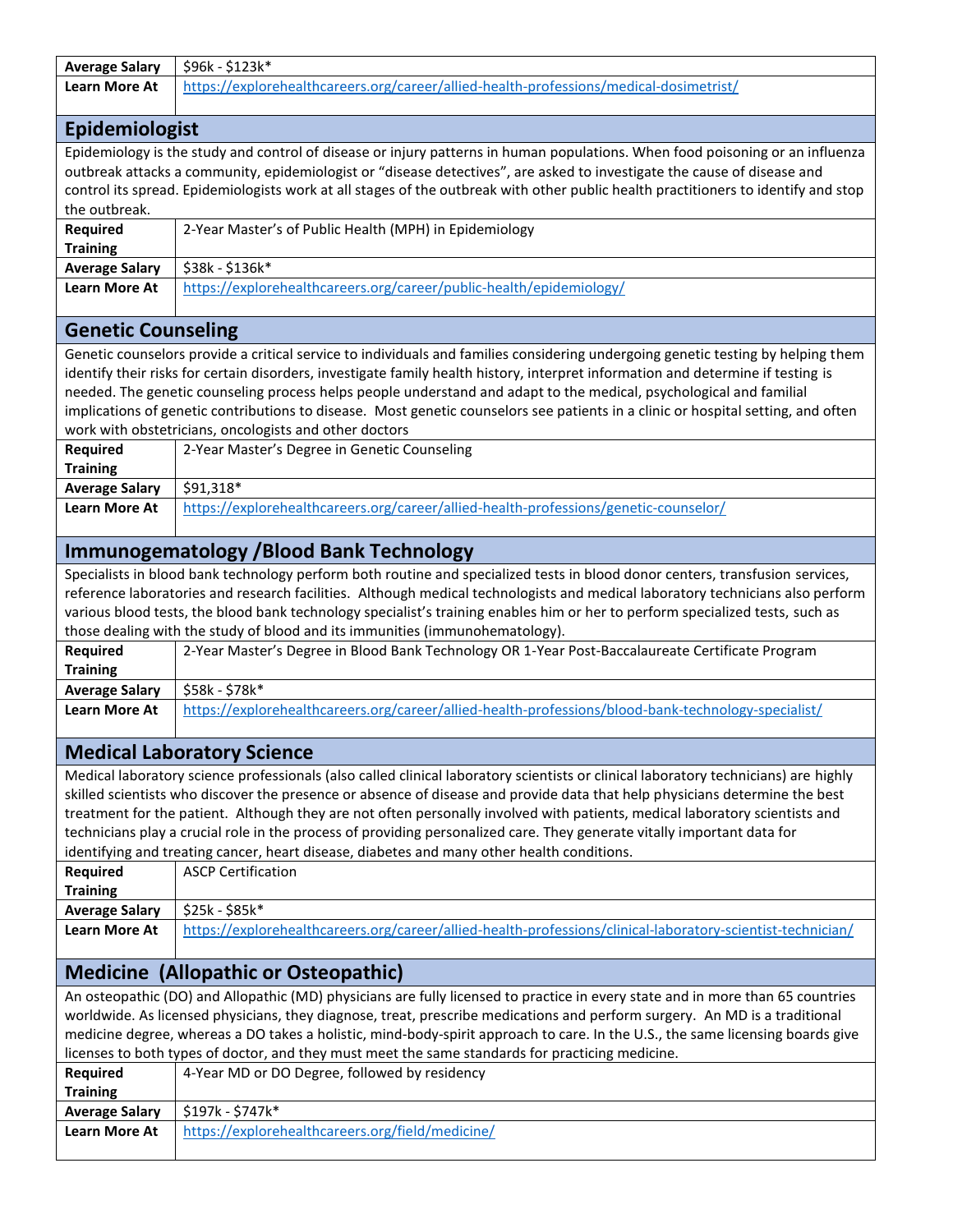| <b>Average Salary</b>                                                                                                          | \$96k - \$123k*                                                                                                                     |
|--------------------------------------------------------------------------------------------------------------------------------|-------------------------------------------------------------------------------------------------------------------------------------|
| <b>Learn More At</b>                                                                                                           | https://explorehealthcareers.org/career/allied-health-professions/medical-dosimetrist/                                              |
|                                                                                                                                |                                                                                                                                     |
| <b>Epidemiologist</b>                                                                                                          |                                                                                                                                     |
|                                                                                                                                | Epidemiology is the study and control of disease or injury patterns in human populations. When food poisoning or an influenza       |
|                                                                                                                                | outbreak attacks a community, epidemiologist or "disease detectives", are asked to investigate the cause of disease and             |
|                                                                                                                                | control its spread. Epidemiologists work at all stages of the outbreak with other public health practitioners to identify and stop  |
| the outbreak.                                                                                                                  |                                                                                                                                     |
| <b>Required</b>                                                                                                                | 2-Year Master's of Public Health (MPH) in Epidemiology                                                                              |
| <b>Training</b>                                                                                                                |                                                                                                                                     |
| <b>Average Salary</b>                                                                                                          | \$38k - \$136k*                                                                                                                     |
| <b>Learn More At</b>                                                                                                           | https://explorehealthcareers.org/career/public-health/epidemiology/                                                                 |
|                                                                                                                                |                                                                                                                                     |
| <b>Genetic Counseling</b>                                                                                                      |                                                                                                                                     |
|                                                                                                                                | Genetic counselors provide a critical service to individuals and families considering undergoing genetic testing by helping them    |
|                                                                                                                                | identify their risks for certain disorders, investigate family health history, interpret information and determine if testing is    |
|                                                                                                                                | needed. The genetic counseling process helps people understand and adapt to the medical, psychological and familial                 |
|                                                                                                                                | implications of genetic contributions to disease. Most genetic counselors see patients in a clinic or hospital setting, and often   |
|                                                                                                                                | work with obstetricians, oncologists and other doctors                                                                              |
| <b>Required</b>                                                                                                                | 2-Year Master's Degree in Genetic Counseling                                                                                        |
| <b>Training</b>                                                                                                                |                                                                                                                                     |
| <b>Average Salary</b>                                                                                                          | \$91,318*                                                                                                                           |
| <b>Learn More At</b>                                                                                                           | https://explorehealthcareers.org/career/allied-health-professions/genetic-counselor/                                                |
|                                                                                                                                |                                                                                                                                     |
|                                                                                                                                | <b>Immunogematology /Blood Bank Technology</b>                                                                                      |
|                                                                                                                                | Specialists in blood bank technology perform both routine and specialized tests in blood donor centers, transfusion services,       |
|                                                                                                                                | reference laboratories and research facilities. Although medical technologists and medical laboratory technicians also perform      |
|                                                                                                                                | various blood tests, the blood bank technology specialist's training enables him or her to perform specialized tests, such as       |
|                                                                                                                                | those dealing with the study of blood and its immunities (immunohematology).                                                        |
| <b>Required</b>                                                                                                                | 2-Year Master's Degree in Blood Bank Technology OR 1-Year Post-Baccalaureate Certificate Program                                    |
| <b>Training</b>                                                                                                                |                                                                                                                                     |
| <b>Average Salary</b>                                                                                                          | \$58k - \$78k*                                                                                                                      |
| <b>Learn More At</b>                                                                                                           | https://explorehealthcareers.org/career/allied-health-professions/blood-bank-technology-specialist/                                 |
|                                                                                                                                |                                                                                                                                     |
|                                                                                                                                | <b>Medical Laboratory Science</b>                                                                                                   |
|                                                                                                                                | Medical laboratory science professionals (also called clinical laboratory scientists or clinical laboratory technicians) are highly |
|                                                                                                                                | skilled scientists who discover the presence or absence of disease and provide data that help physicians determine the best         |
|                                                                                                                                | treatment for the patient. Although they are not often personally involved with patients, medical laboratory scientists and         |
|                                                                                                                                | technicians play a crucial role in the process of providing personalized care. They generate vitally important data for             |
|                                                                                                                                | identifying and treating cancer, heart disease, diabetes and many other health conditions.                                          |
| <b>Required</b>                                                                                                                | <b>ASCP Certification</b>                                                                                                           |
| <b>Training</b><br><b>Average Salary</b>                                                                                       | \$25k - \$85k*                                                                                                                      |
| <b>Learn More At</b>                                                                                                           | https://explorehealthcareers.org/career/allied-health-professions/clinical-laboratory-scientist-technician/                         |
|                                                                                                                                |                                                                                                                                     |
|                                                                                                                                | <b>Medicine (Allopathic or Osteopathic)</b>                                                                                         |
|                                                                                                                                | An osteopathic (DO) and Allopathic (MD) physicians are fully licensed to practice in every state and in more than 65 countries      |
|                                                                                                                                | worldwide. As licensed physicians, they diagnose, treat, prescribe medications and perform surgery. An MD is a traditional          |
| medicine degree, whereas a DO takes a holistic, mind-body-spirit approach to care. In the U.S., the same licensing boards give |                                                                                                                                     |
| licenses to both types of doctor, and they must meet the same standards for practicing medicine.                               |                                                                                                                                     |
| <b>Required</b>                                                                                                                | 4-Year MD or DO Degree, followed by residency                                                                                       |
| <b>Training</b>                                                                                                                |                                                                                                                                     |
| <b>Average Salary</b>                                                                                                          | \$197k - \$747k*                                                                                                                    |
| <b>Learn More At</b>                                                                                                           | https://explorehealthcareers.org/field/medicine/                                                                                    |
|                                                                                                                                |                                                                                                                                     |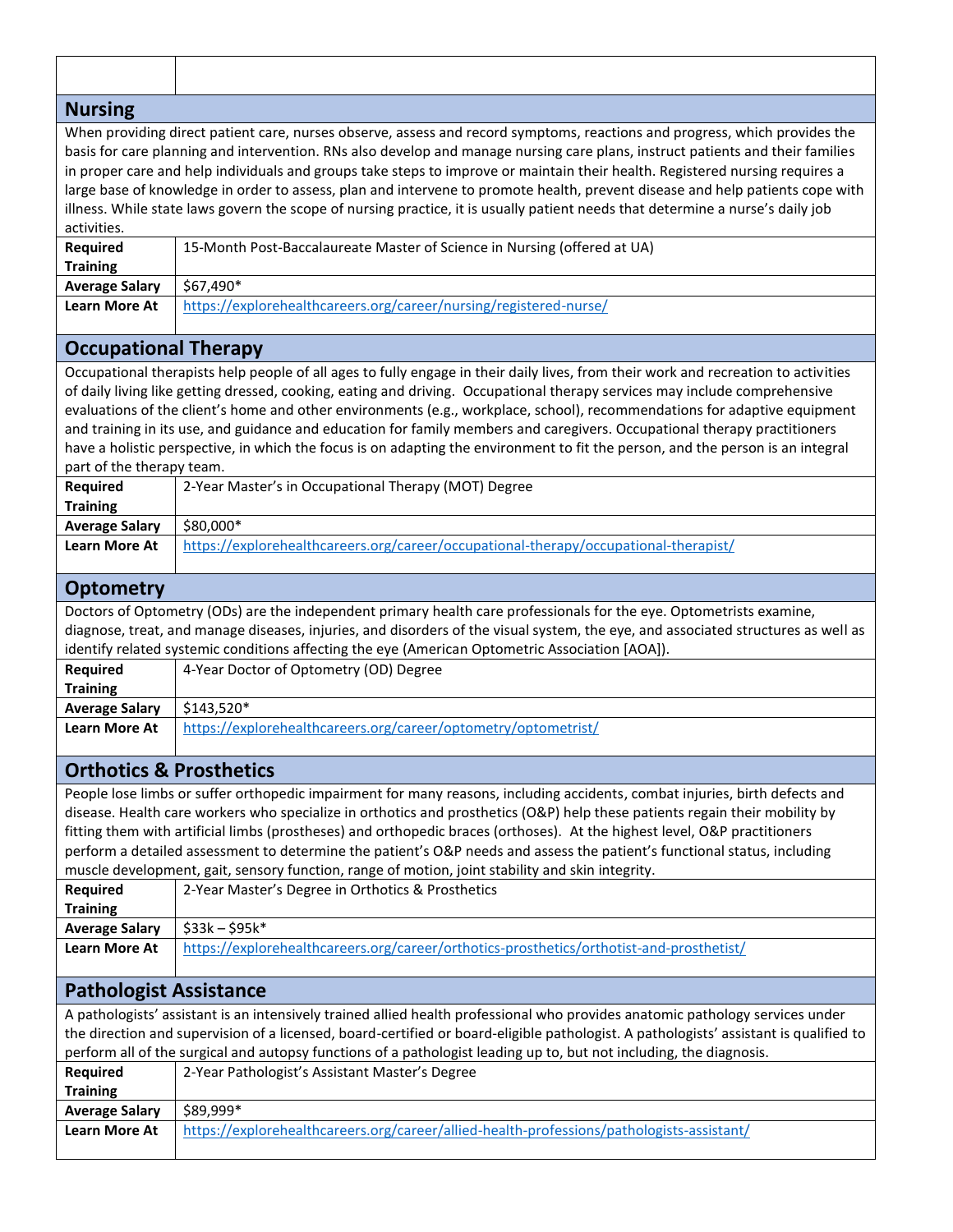| <b>Nursing</b>                                                                                                                                                                                                                                                                                                                                                                                                                                                                                                                                                                                                                                                                                  |                                                                                           |
|-------------------------------------------------------------------------------------------------------------------------------------------------------------------------------------------------------------------------------------------------------------------------------------------------------------------------------------------------------------------------------------------------------------------------------------------------------------------------------------------------------------------------------------------------------------------------------------------------------------------------------------------------------------------------------------------------|-------------------------------------------------------------------------------------------|
| When providing direct patient care, nurses observe, assess and record symptoms, reactions and progress, which provides the<br>basis for care planning and intervention. RNs also develop and manage nursing care plans, instruct patients and their families<br>in proper care and help individuals and groups take steps to improve or maintain their health. Registered nursing requires a<br>large base of knowledge in order to assess, plan and intervene to promote health, prevent disease and help patients cope with<br>illness. While state laws govern the scope of nursing practice, it is usually patient needs that determine a nurse's daily job<br>activities.                  |                                                                                           |
| <b>Required</b>                                                                                                                                                                                                                                                                                                                                                                                                                                                                                                                                                                                                                                                                                 | 15-Month Post-Baccalaureate Master of Science in Nursing (offered at UA)                  |
| <b>Training</b>                                                                                                                                                                                                                                                                                                                                                                                                                                                                                                                                                                                                                                                                                 |                                                                                           |
| <b>Average Salary</b>                                                                                                                                                                                                                                                                                                                                                                                                                                                                                                                                                                                                                                                                           | \$67,490*                                                                                 |
| <b>Learn More At</b>                                                                                                                                                                                                                                                                                                                                                                                                                                                                                                                                                                                                                                                                            | https://explorehealthcareers.org/career/nursing/registered-nurse/                         |
| <b>Occupational Therapy</b>                                                                                                                                                                                                                                                                                                                                                                                                                                                                                                                                                                                                                                                                     |                                                                                           |
| Occupational therapists help people of all ages to fully engage in their daily lives, from their work and recreation to activities<br>of daily living like getting dressed, cooking, eating and driving. Occupational therapy services may include comprehensive<br>evaluations of the client's home and other environments (e.g., workplace, school), recommendations for adaptive equipment<br>and training in its use, and guidance and education for family members and caregivers. Occupational therapy practitioners<br>have a holistic perspective, in which the focus is on adapting the environment to fit the person, and the person is an integral<br>part of the therapy team.      |                                                                                           |
| <b>Required</b><br><b>Training</b>                                                                                                                                                                                                                                                                                                                                                                                                                                                                                                                                                                                                                                                              | 2-Year Master's in Occupational Therapy (MOT) Degree                                      |
| <b>Average Salary</b>                                                                                                                                                                                                                                                                                                                                                                                                                                                                                                                                                                                                                                                                           | \$80,000*                                                                                 |
| <b>Learn More At</b>                                                                                                                                                                                                                                                                                                                                                                                                                                                                                                                                                                                                                                                                            | https://explorehealthcareers.org/career/occupational-therapy/occupational-therapist/      |
| <b>Optometry</b>                                                                                                                                                                                                                                                                                                                                                                                                                                                                                                                                                                                                                                                                                |                                                                                           |
| Doctors of Optometry (ODs) are the independent primary health care professionals for the eye. Optometrists examine,<br>diagnose, treat, and manage diseases, injuries, and disorders of the visual system, the eye, and associated structures as well as<br>identify related systemic conditions affecting the eye (American Optometric Association [AOA]).<br><b>Required</b><br>4-Year Doctor of Optometry (OD) Degree                                                                                                                                                                                                                                                                        |                                                                                           |
| <b>Training</b>                                                                                                                                                                                                                                                                                                                                                                                                                                                                                                                                                                                                                                                                                 |                                                                                           |
| <b>Average Salary</b>                                                                                                                                                                                                                                                                                                                                                                                                                                                                                                                                                                                                                                                                           | \$143,520*                                                                                |
| <b>Learn More At</b>                                                                                                                                                                                                                                                                                                                                                                                                                                                                                                                                                                                                                                                                            | https://explorehealthcareers.org/career/optometry/optometrist/                            |
| <b>Orthotics &amp; Prosthetics</b>                                                                                                                                                                                                                                                                                                                                                                                                                                                                                                                                                                                                                                                              |                                                                                           |
| People lose limbs or suffer orthopedic impairment for many reasons, including accidents, combat injuries, birth defects and<br>disease. Health care workers who specialize in orthotics and prosthetics (O&P) help these patients regain their mobility by<br>fitting them with artificial limbs (prostheses) and orthopedic braces (orthoses). At the highest level, O&P practitioners<br>perform a detailed assessment to determine the patient's O&P needs and assess the patient's functional status, including<br>muscle development, gait, sensory function, range of motion, joint stability and skin integrity.<br>2-Year Master's Degree in Orthotics & Prosthetics<br><b>Required</b> |                                                                                           |
| <b>Training</b><br><b>Average Salary</b>                                                                                                                                                                                                                                                                                                                                                                                                                                                                                                                                                                                                                                                        | $$33k - $95k*$                                                                            |
| <b>Learn More At</b>                                                                                                                                                                                                                                                                                                                                                                                                                                                                                                                                                                                                                                                                            | https://explorehealthcareers.org/career/orthotics-prosthetics/orthotist-and-prosthetist/  |
|                                                                                                                                                                                                                                                                                                                                                                                                                                                                                                                                                                                                                                                                                                 |                                                                                           |
| <b>Pathologist Assistance</b>                                                                                                                                                                                                                                                                                                                                                                                                                                                                                                                                                                                                                                                                   |                                                                                           |
| A pathologists' assistant is an intensively trained allied health professional who provides anatomic pathology services under<br>the direction and supervision of a licensed, board-certified or board-eligible pathologist. A pathologists' assistant is qualified to<br>perform all of the surgical and autopsy functions of a pathologist leading up to, but not including, the diagnosis.                                                                                                                                                                                                                                                                                                   |                                                                                           |
| <b>Required</b><br><b>Training</b>                                                                                                                                                                                                                                                                                                                                                                                                                                                                                                                                                                                                                                                              | 2-Year Pathologist's Assistant Master's Degree                                            |
| <b>Average Salary</b>                                                                                                                                                                                                                                                                                                                                                                                                                                                                                                                                                                                                                                                                           | \$89,999*                                                                                 |
| <b>Learn More At</b>                                                                                                                                                                                                                                                                                                                                                                                                                                                                                                                                                                                                                                                                            | https://explorehealthcareers.org/career/allied-health-professions/pathologists-assistant/ |
|                                                                                                                                                                                                                                                                                                                                                                                                                                                                                                                                                                                                                                                                                                 |                                                                                           |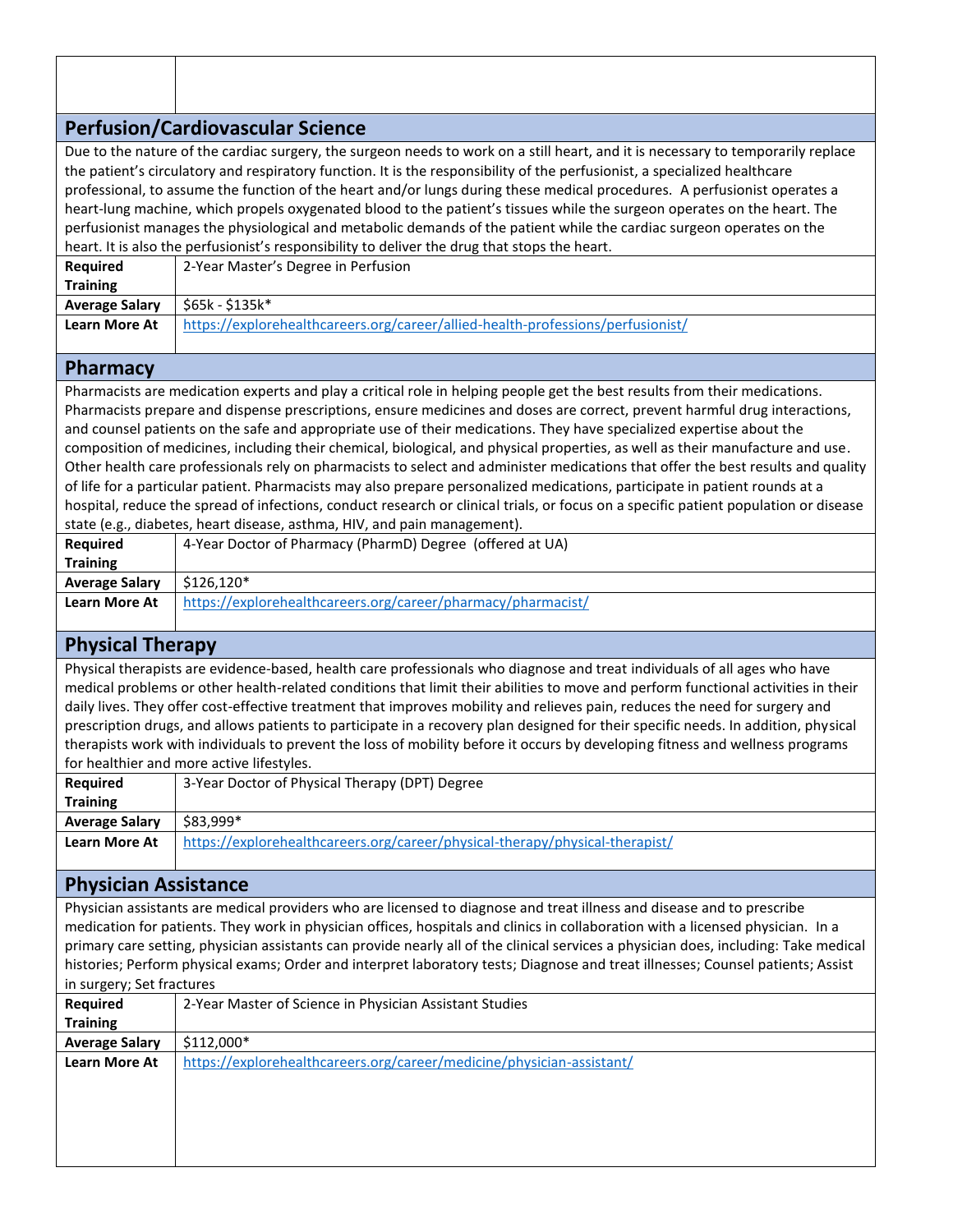## **Perfusion/Cardiovascular Science**

Due to the nature of the cardiac surgery, the surgeon needs to work on a still heart, and it is necessary to temporarily replace the patient's circulatory and respiratory function. It is the responsibility of the perfusionist, a specialized healthcare professional, to assume the function of the heart and/or lungs during these medical procedures. A perfusionist operates a heart-lung machine, which propels oxygenated blood to the patient's tissues while the surgeon operates on the heart. The perfusionist manages the physiological and metabolic demands of the patient while the cardiac surgeon operates on the heart. It is also the perfusionist's responsibility to deliver the drug that stops the heart.

| <b>Required</b>       | 2-Year Master's Degree in Perfusion                                             |
|-----------------------|---------------------------------------------------------------------------------|
| <b>Training</b>       |                                                                                 |
| <b>Average Salary</b> | \$65k - \$135k*                                                                 |
| <b>Learn More At</b>  | https://explorehealthcareers.org/career/allied-health-professions/perfusionist/ |

#### **Pharmacy**

Pharmacists are medication experts and play a critical role in helping people get the best results from their medications. Pharmacists prepare and dispense prescriptions, ensure medicines and doses are correct, prevent harmful drug interactions, and counsel patients on the safe and appropriate use of their medications. They have specialized expertise about the composition of medicines, including their chemical, biological, and physical properties, as well as their manufacture and use. Other health care professionals rely on pharmacists to select and administer medications that offer the best results and quality of life for a particular patient. Pharmacists may also prepare personalized medications, participate in patient rounds at a hospital, reduce the spread of infections, conduct research or clinical trials, or focus on a specific patient population or disease state (e.g., diabetes, heart disease, asthma, HIV, and pain management).

| Reguired              | 4-Year Doctor of Pharmacy (PharmD) Degree (offered at UA)    |
|-----------------------|--------------------------------------------------------------|
| <b>Training</b>       |                                                              |
| <b>Average Salary</b> | \$126.120*                                                   |
| <b>Learn More At</b>  | https://explorehealthcareers.org/career/pharmacy/pharmacist/ |

## **Physical Therapy**

Physical therapists are evidence-based, health care professionals who diagnose and treat individuals of all ages who have medical problems or other health-related conditions that limit their abilities to move and perform functional activities in their daily lives. They offer cost-effective treatment that improves mobility and relieves pain, reduces the need for surgery and prescription drugs, and allows patients to participate in a recovery plan designed for their specific needs. In addition, physical therapists work with individuals to prevent the loss of mobility before it occurs by developing fitness and wellness programs for healthier and more active lifestyles.

| <b>Required</b>       | 3-Year Doctor of Physical Therapy (DPT) Degree                               |
|-----------------------|------------------------------------------------------------------------------|
| <b>Training</b>       |                                                                              |
| <b>Average Salary</b> | \$83,999*                                                                    |
| <b>Learn More At</b>  | https://explorehealthcareers.org/career/physical-therapy/physical-therapist/ |

#### **Physician Assistance**

Physician assistants are medical providers who are licensed to diagnose and treat illness and disease and to prescribe medication for patients. They work in physician offices, hospitals and clinics in collaboration with a licensed physician. In a primary care setting, physician assistants can provide nearly all of the clinical services a physician does, including: Take medical histories; Perform physical exams; Order and interpret laboratory tests; Diagnose and treat illnesses; Counsel patients; Assist in surgery; Set fractures

| - 7                   |                                                                       |
|-----------------------|-----------------------------------------------------------------------|
| Required              | 2-Year Master of Science in Physician Assistant Studies               |
| <b>Training</b>       |                                                                       |
| <b>Average Salary</b> | \$112,000*                                                            |
| <b>Learn More At</b>  | https://explorehealthcareers.org/career/medicine/physician-assistant/ |
|                       |                                                                       |
|                       |                                                                       |
|                       |                                                                       |
|                       |                                                                       |
|                       |                                                                       |